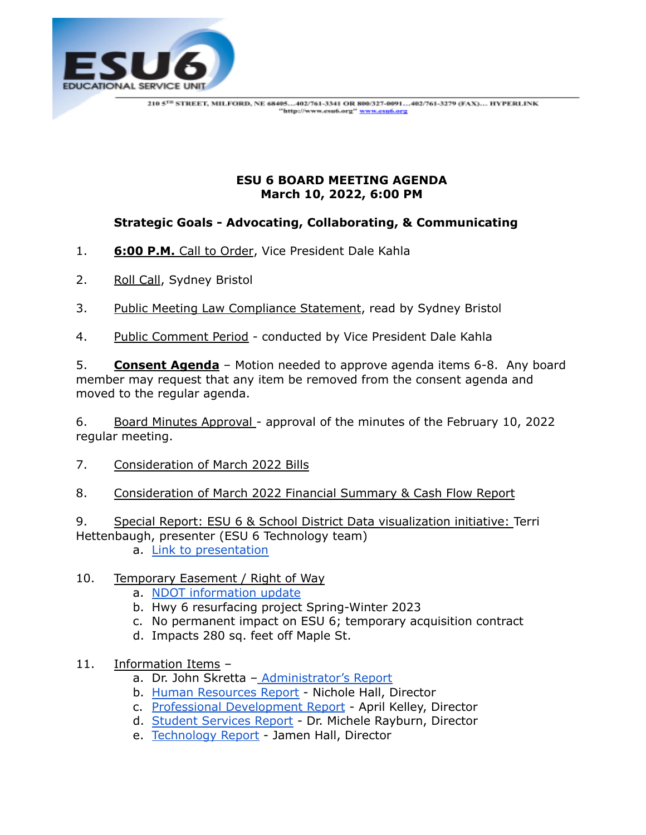

## **ESU 6 BOARD MEETING AGENDA March 10, 2022, 6:00 PM**

## **Strategic Goals - Advocating, Collaborating, & Communicating**

- 1. **6:00 P.M.** Call to Order, Vice President Dale Kahla
- 2. Roll Call, Sydney Bristol
- 3. Public Meeting Law Compliance Statement, read by Sydney Bristol
- 4. Public Comment Period conducted by Vice President Dale Kahla

5. **Consent Agenda** – Motion needed to approve agenda items 6-8. Any board member may request that any item be removed from the consent agenda and moved to the regular agenda.

6. Board Minutes Approval - approval of the minutes of the February 10, 2022 regular meeting.

- 7. Consideration of March 2022 Bills
- 8. Consideration of March 2022 Financial Summary & Cash Flow Report

9. Special Report: ESU 6 & School District Data visualization initiative: Terri Hettenbaugh, presenter (ESU 6 Technology team)

a. Link to [presentation](https://docs.google.com/presentation/d/1a4FKhwRhwTbQeUjrVJp8oIestTL4Cyz0/edit?usp=sharing&ouid=116211163225060636398&rtpof=true&sd=true)

## 10. Temporary Easement / Right of Way

- a. NDOT [information](https://drive.google.com/file/d/11B9mKwb8NWd5d0lbHCzl7CkwcnVQaUwr/view?usp=sharing) update
- b. Hwy 6 resurfacing project Spring-Winter 2023
- c. No permanent impact on ESU 6; temporary acquisition contract
- d. Impacts 280 sq. feet off Maple St.
- 11. Information Items
	- a. Dr. John Skretta [Administrator's](https://docs.google.com/document/d/1hXD4sgfU8g20x-QpNLbIMrNB7TCnWMe_vbXquDqWIg8/edit?usp=sharing) Report
	- b. Human [Resources](https://docs.google.com/document/d/1miFw0RmZRXEHv6C_ARZibw3nb6oMjuF2Ikd9q1CUJ8k/edit) Report Nichole Hall, Director
	- c. Professional [Development](https://drive.google.com/file/d/1gkvun6lH5GDnNPU3tcuMQ7OIFZNl-ykN/view?usp=sharing) Report April Kelley, Director
	- d. Student [Services](https://docs.google.com/document/d/1H2XGy0hNmFQ-KxgLnHDWuBva8Vvlc5Q4QeJL5mVyH-Y/edit) Report Dr. Michele Rayburn, Director
	- e. [Technology](https://docs.google.com/document/d/1ogcDHuh7bOstAgw4A_BQceMo0bhPTO9OldfxcdlEJyE/edit) Report Jamen Hall, Director